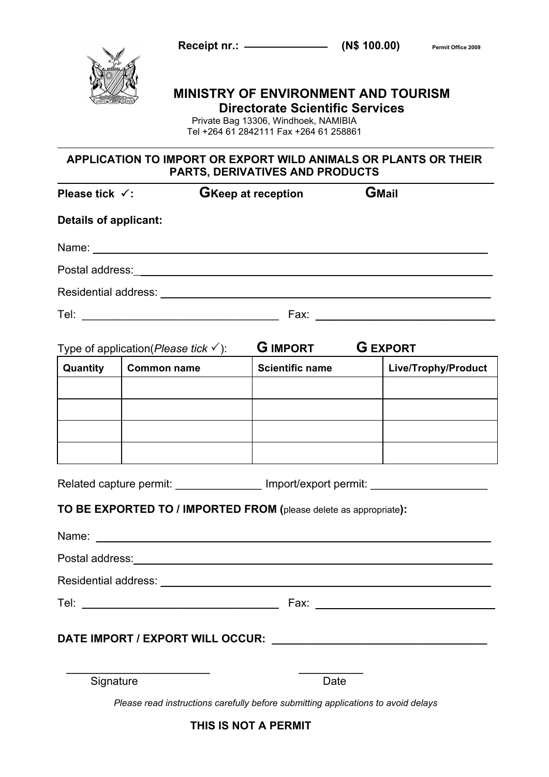**Receipt nr.:** ———————————————————— (N\$ 100.00) Permit Office 2009



# **MINISTRY OF ENVIRONMENT AND TOURISM Directorate Scientific Services**

Private Bag 13306, Windhoek, NAMIBIA Tel +264 61 2842111 Fax +264 61 258861

# **APPLICATION TO IMPORT OR EXPORT WILD ANIMALS OR PLANTS OR THEIR PARTS, DERIVATIVES AND PRODUCTS**

| Please tick $\checkmark$ :                                                       |                                                                                                                                                                                                                               | <b>GKeep at reception</b> | <b>GMail</b>        |
|----------------------------------------------------------------------------------|-------------------------------------------------------------------------------------------------------------------------------------------------------------------------------------------------------------------------------|---------------------------|---------------------|
| <b>Details of applicant:</b>                                                     |                                                                                                                                                                                                                               |                           |                     |
|                                                                                  | Name: Name: Name: Name: Name: Name: Name: Name: Name: Name: Name: Name: Name: Name: Name: Name: Name: Name: Name: Name: Name: Name: Name: Name: Name: Name: Name: Name: Name: Name: Name: Name: Name: Name: Name: Name: Name: |                           |                     |
|                                                                                  |                                                                                                                                                                                                                               |                           |                     |
|                                                                                  |                                                                                                                                                                                                                               |                           |                     |
|                                                                                  |                                                                                                                                                                                                                               |                           |                     |
|                                                                                  | Type of application(Please tick $\checkmark$ ):                                                                                                                                                                               | <b>G IMPORT G EXPORT</b>  |                     |
| Quantity                                                                         | <b>Common name</b>                                                                                                                                                                                                            | <b>Scientific name</b>    | Live/Trophy/Product |
|                                                                                  |                                                                                                                                                                                                                               |                           |                     |
|                                                                                  |                                                                                                                                                                                                                               |                           |                     |
|                                                                                  |                                                                                                                                                                                                                               |                           |                     |
|                                                                                  |                                                                                                                                                                                                                               |                           |                     |
| Related capture permit: _________________ Import/export permit: ________________ |                                                                                                                                                                                                                               |                           |                     |
|                                                                                  | TO BE EXPORTED TO / IMPORTED FROM (please delete as appropriate):                                                                                                                                                             |                           |                     |
|                                                                                  |                                                                                                                                                                                                                               |                           |                     |
|                                                                                  |                                                                                                                                                                                                                               |                           |                     |
|                                                                                  |                                                                                                                                                                                                                               |                           |                     |
|                                                                                  |                                                                                                                                                                                                                               |                           |                     |

 $\overline{\phantom{a}}$  , and the set of the set of the set of the set of the set of the set of the set of the set of the set of the set of the set of the set of the set of the set of the set of the set of the set of the set of the s

Signature Date

*Please read instructions carefully before submitting applications to avoid delays*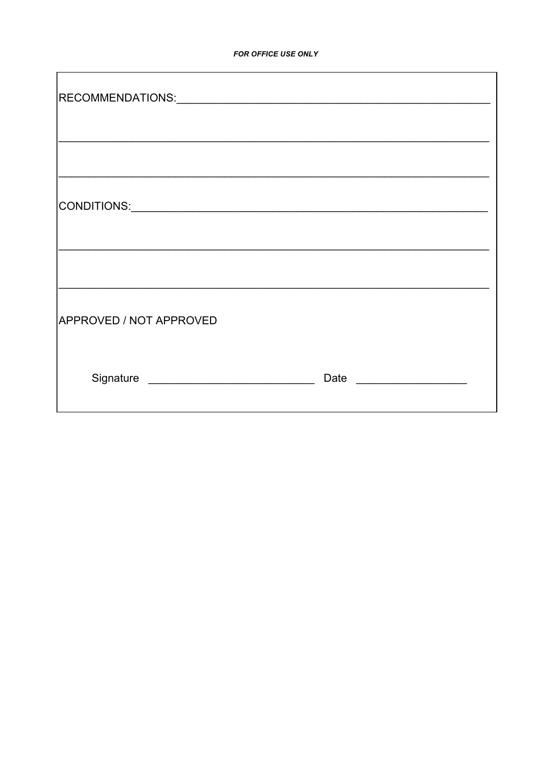| <b>APPROVED / NOT APPROVED</b> |  |
|--------------------------------|--|
|                                |  |